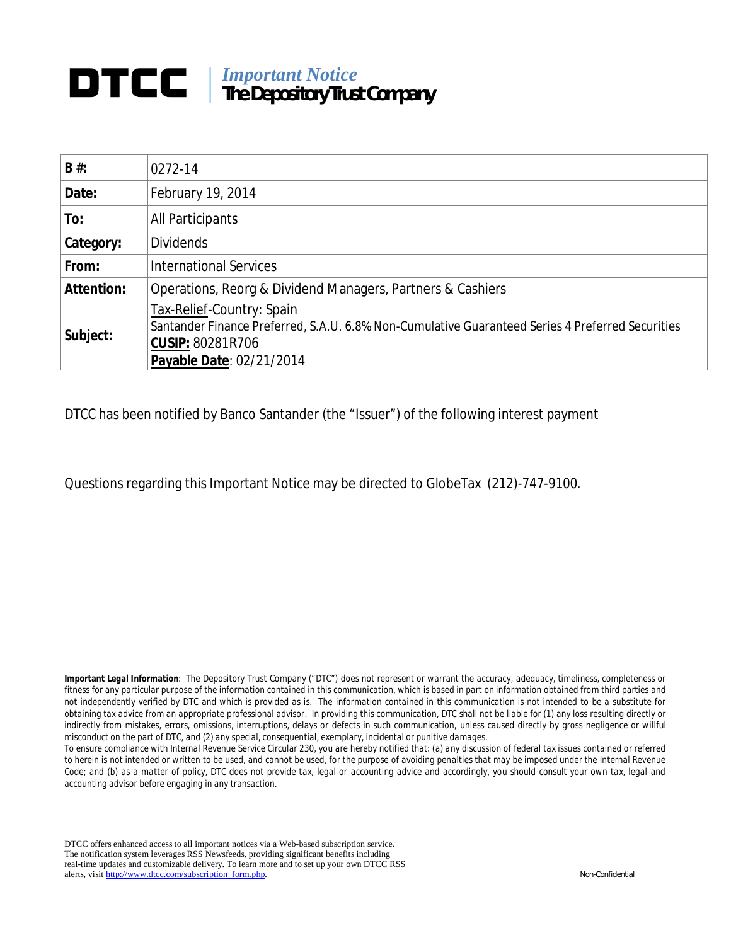# *Important Notice* **The Depository Trust Company**

| $B#$ :            | 0272-14                                                                                                                                                                              |
|-------------------|--------------------------------------------------------------------------------------------------------------------------------------------------------------------------------------|
| Date:             | February 19, 2014                                                                                                                                                                    |
| To:               | All Participants                                                                                                                                                                     |
| <b>Category:</b>  | <b>Dividends</b>                                                                                                                                                                     |
| From:             | <b>International Services</b>                                                                                                                                                        |
| <b>Attention:</b> | Operations, Reorg & Dividend Managers, Partners & Cashiers                                                                                                                           |
| Subject:          | Tax-Relief-Country: Spain<br>Santander Finance Preferred, S.A.U. 6.8% Non-Cumulative Guaranteed Series 4 Preferred Securities<br><b>CUSIP: 80281R706</b><br>Payable Date: 02/21/2014 |

DTCC has been notified by Banco Santander (the "Issuer") of the following interest payment

Questions regarding this Important Notice may be directed to GlobeTax (212)-747-9100.

*Important Legal Information: The Depository Trust Company ("DTC") does not represent or warrant the accuracy, adequacy, timeliness, completeness or fitness for any particular purpose of the information contained in this communication, which is based in part on information obtained from third parties and not independently verified by DTC and which is provided as is. The information contained in this communication is not intended to be a substitute for obtaining tax advice from an appropriate professional advisor. In providing this communication, DTC shall not be liable for (1) any loss resulting directly or*  indirectly from mistakes, errors, omissions, interruptions, delays or defects in such communication, unless caused directly by gross negligence or willful *misconduct on the part of DTC, and (2) any special, consequential, exemplary, incidental or punitive damages.*

*To ensure compliance with Internal Revenue Service Circular 230, you are hereby notified that: (a) any discussion of federal tax issues contained or referred*  to herein is not intended or written to be used, and cannot be used, for the purpose of avoiding penalties that may be imposed under the Internal Revenue Code; and (b) as a matter of policy, DTC does not provide tax, legal or accounting advice and accordingly, you should consult your own tax, legal and *accounting advisor before engaging in any transaction.*

DTCC offers enhanced access to all important notices via a Web-based subscription service. The notification system leverages RSS Newsfeeds, providing significant benefits including real-time updates and customizable delivery. To learn more and to set up your own DTCC RSS alerts, visit http://www.dtcc.com/subscription\_form.php. Non-Confidential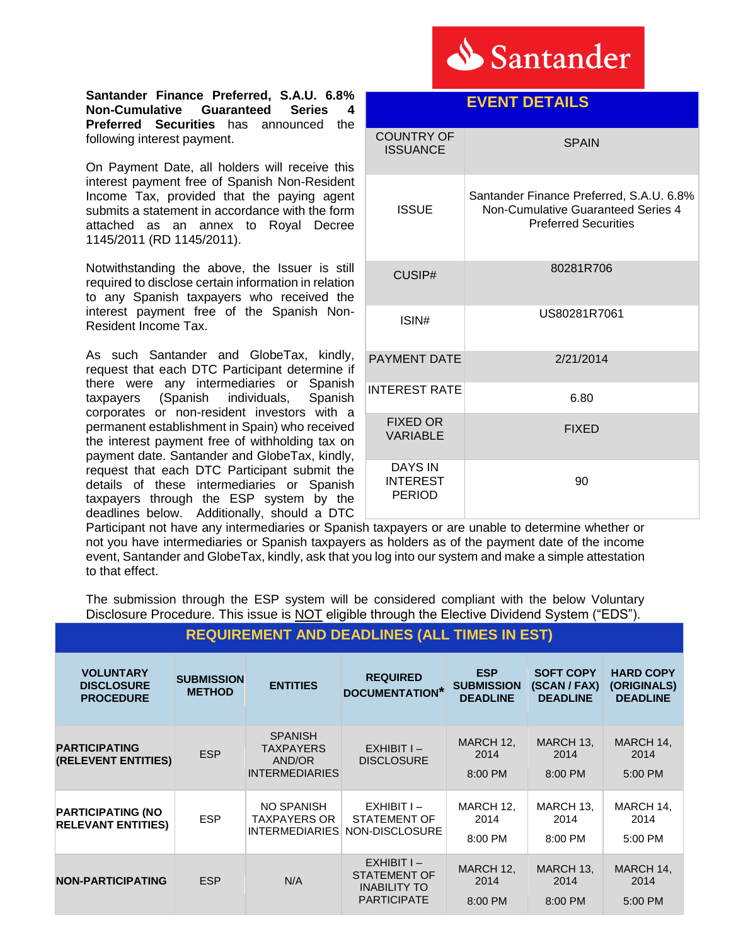

**EVENT DETAILS** 

### **Santander Finance Preferred, S.A.U. 6.8% Non-Cumulative Guaranteed Series 4 Preferred Securities** has announced the following interest payment.

On Payment Date, all holders will receive this interest payment free of Spanish Non-Resident Income Tax, provided that the paying agent submits a statement in accordance with the form attached as an annex to Royal Decree 1145/2011 (RD 1145/2011).

Notwithstanding the above, the Issuer is still required to disclose certain information in relation to any Spanish taxpayers who received the interest payment free of the Spanish Non-Resident Income Tax.

As such Santander and GlobeTax, kindly, request that each DTC Participant determine if there were any intermediaries or Spanish taxpayers (Spanish individuals, Spanish corporates or non-resident investors with a permanent establishment in Spain) who received the interest payment free of withholding tax on payment date. Santander and GlobeTax, kindly, request that each DTC Participant submit the details of these intermediaries or Spanish taxpayers through the ESP system by the deadlines below. Additionally, should a DTC

| <b>COUNTRY OF</b><br><b>ISSUANCE</b>               | <b>SPAIN</b>                                                                                                  |
|----------------------------------------------------|---------------------------------------------------------------------------------------------------------------|
| <b>ISSUE</b>                                       | Santander Finance Preferred, S.A.U. 6.8%<br>Non-Cumulative Guaranteed Series 4<br><b>Preferred Securities</b> |
| CUSIP#                                             | 80281R706                                                                                                     |
| ISIN#                                              | US80281R7061                                                                                                  |
| <b>PAYMENT DATE</b>                                | 2/21/2014                                                                                                     |
| <b>INTEREST RATE</b>                               | 6.80                                                                                                          |
| <b>FIXED OR</b><br><b>VARIABLE</b>                 | <b>FIXED</b>                                                                                                  |
| <b>DAYS IN</b><br><b>INTEREST</b><br><b>PERIOD</b> | 90                                                                                                            |

Participant not have any intermediaries or Spanish taxpayers or are unable to determine whether or not you have intermediaries or Spanish taxpayers as holders as of the payment date of the income event, Santander and GlobeTax, kindly, ask that you log into our system and make a simple attestation to that effect.

The submission through the ESP system will be considered compliant with the below Voluntary Disclosure Procedure. This issue is NOT eligible through the Elective Dividend System ("EDS").

| <b>REQUIREMENT AND DEADLINES (ALL TIMES IN EST)</b> |  |
|-----------------------------------------------------|--|
|-----------------------------------------------------|--|

| <b>VOLUNTARY</b><br><b>DISCLOSURE</b><br><b>PROCEDURE</b> | <b>SUBMISSION</b><br><b>METHOD</b> | <b>ENTITIES</b>                                                       | <b>REQUIRED</b><br><b>DOCUMENTATION*</b>                                         | <b>ESP</b><br><b>SUBMISSION</b><br><b>DEADLINE</b> | <b>SOFT COPY</b><br>(SCAN / FAX)<br><b>DEADLINE</b> | <b>HARD COPY</b><br>(ORIGINALS)<br><b>DEADLINE</b> |
|-----------------------------------------------------------|------------------------------------|-----------------------------------------------------------------------|----------------------------------------------------------------------------------|----------------------------------------------------|-----------------------------------------------------|----------------------------------------------------|
| <b>PARTICIPATING</b><br>(RELEVENT ENTITIES)               | <b>ESP</b>                         | <b>SPANISH</b><br><b>TAXPAYERS</b><br>AND/OR<br><b>INTERMEDIARIES</b> | $EXHIBITI -$<br><b>DISCLOSURE</b>                                                | MARCH 12,<br>2014<br>$8:00$ PM                     | MARCH 13,<br>2014<br>8:00 PM                        | MARCH 14,<br>2014<br>5:00 PM                       |
| <b>PARTICIPATING (NO</b><br><b>RELEVANT ENTITIES)</b>     | <b>ESP</b>                         | NO SPANISH<br>TAXPAYERS OR<br><b>INTERMEDIARIES</b>                   | $EXHIBITI -$<br>STATEMENT OF<br>NON-DISCLOSURE                                   | MARCH 12,<br>2014<br>8:00 PM                       | MARCH 13,<br>2014<br>8:00 PM                        | MARCH 14,<br>2014<br>5:00 PM                       |
| <b>NON-PARTICIPATING</b>                                  | <b>ESP</b>                         | N/A                                                                   | $EXHIBITI -$<br><b>STATEMENT OF</b><br><b>INABILITY TO</b><br><b>PARTICIPATE</b> | MARCH 12,<br>2014<br>8:00 PM                       | MARCH 13,<br>2014<br>8:00 PM                        | MARCH 14,<br>2014<br>5:00 PM                       |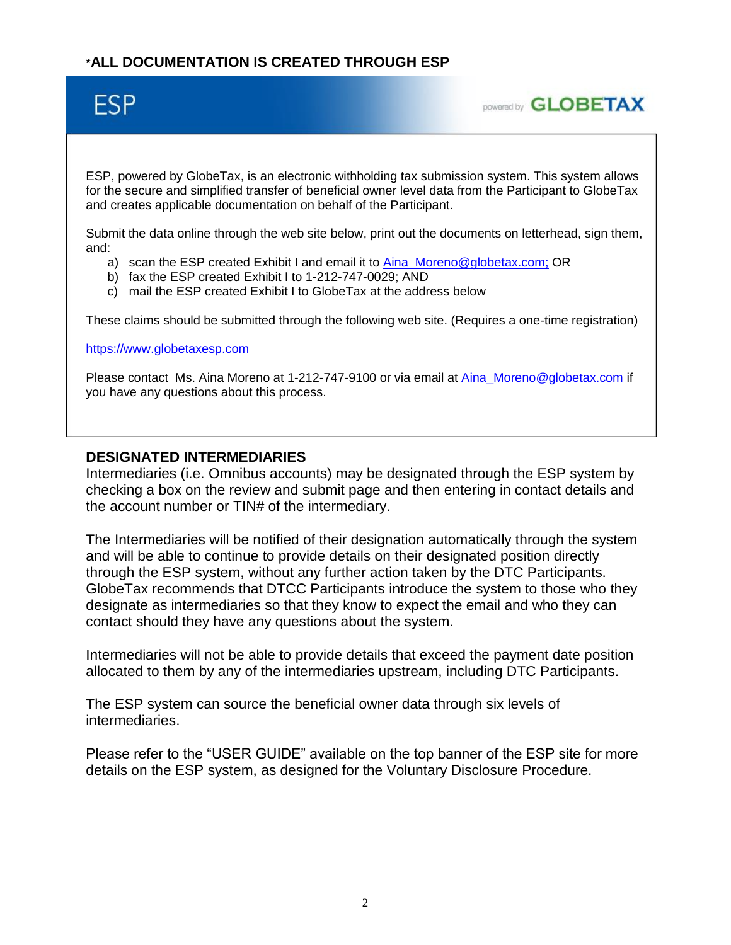# **\*ALL DOCUMENTATION IS CREATED THROUGH ESP**

# **ESP**



ESP, powered by GlobeTax, is an electronic withholding tax submission system. This system allows for the secure and simplified transfer of beneficial owner level data from the Participant to GlobeTax and creates applicable documentation on behalf of the Participant.

Submit the data online through the web site below, print out the documents on letterhead, sign them, and:

- a) scan the ESP created Exhibit I and email it to Aina Moreno@globetax.com; OR
- b) fax the ESP created Exhibit I to 1-212-747-0029; AND
- c) mail the ESP created Exhibit I to GlobeTax at the address below

These claims should be submitted through the following web site. (Requires a one-time registration)

#### [https://www.globetaxesp.com](https://www.globetaxesp.com/)

Please contact Ms. Aina Moreno at 1-212-747-9100 or via email at Aina Moreno@globetax.com if you have any questions about this process.

## **DESIGNATED INTERMEDIARIES**

Intermediaries (i.e. Omnibus accounts) may be designated through the ESP system by checking a box on the review and submit page and then entering in contact details and the account number or TIN# of the intermediary.

The Intermediaries will be notified of their designation automatically through the system and will be able to continue to provide details on their designated position directly through the ESP system, without any further action taken by the DTC Participants. GlobeTax recommends that DTCC Participants introduce the system to those who they designate as intermediaries so that they know to expect the email and who they can contact should they have any questions about the system.

Intermediaries will not be able to provide details that exceed the payment date position allocated to them by any of the intermediaries upstream, including DTC Participants.

The ESP system can source the beneficial owner data through six levels of intermediaries.

Please refer to the "USER GUIDE" available on the top banner of the ESP site for more details on the ESP system, as designed for the Voluntary Disclosure Procedure.